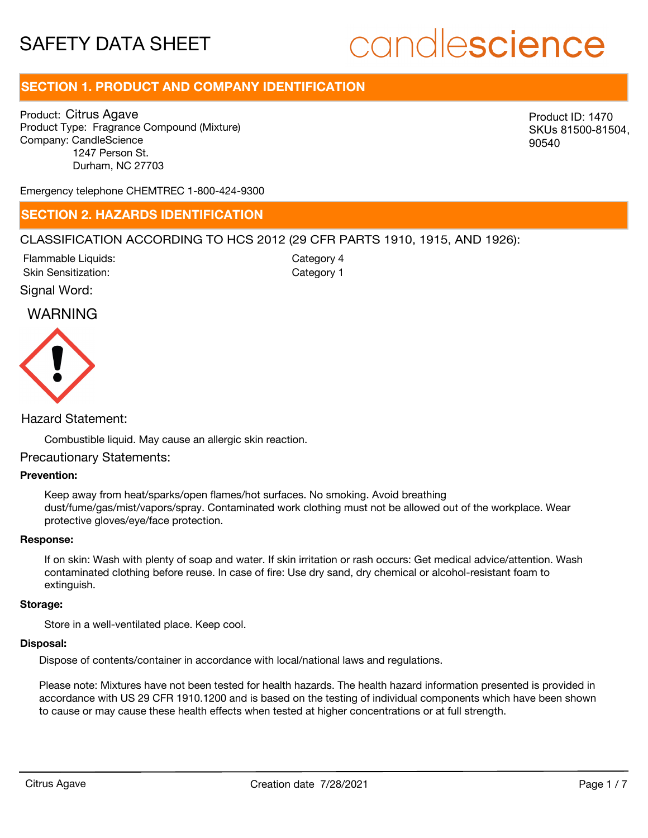# candlescience

# **SECTION 1. PRODUCT AND COMPANY IDENTIFICATION**

Product: Citrus Agave Product Type: Fragrance Compound (Mixture) Company: CandleScience 1247 Person St. Durham, NC 27703

Product ID: 1470 SKUs 81500-81504, 90540

Emergency telephone CHEMTREC 1-800-424-9300

### **SECTION 2. HAZARDS IDENTIFICATION**

#### CLASSIFICATION ACCORDING TO HCS 2012 (29 CFR PARTS 1910, 1915, AND 1926):

Skin Sensitization: Flammable Liquids: Category 1 Category 4

Signal Word:

### WARNING



#### Hazard Statement:

Combustible liquid. May cause an allergic skin reaction.

#### Precautionary Statements:

#### **Prevention:**

Keep away from heat/sparks/open flames/hot surfaces. No smoking. Avoid breathing dust/fume/gas/mist/vapors/spray. Contaminated work clothing must not be allowed out of the workplace. Wear protective gloves/eye/face protection.

#### **Response:**

If on skin: Wash with plenty of soap and water. If skin irritation or rash occurs: Get medical advice/attention. Wash contaminated clothing before reuse. In case of fire: Use dry sand, dry chemical or alcohol-resistant foam to extinguish.

#### **Storage:**

Store in a well-ventilated place. Keep cool.

#### **Disposal:**

Dispose of contents/container in accordance with local/national laws and regulations.

Please note: Mixtures have not been tested for health hazards. The health hazard information presented is provided in accordance with US 29 CFR 1910.1200 and is based on the testing of individual components which have been shown to cause or may cause these health effects when tested at higher concentrations or at full strength.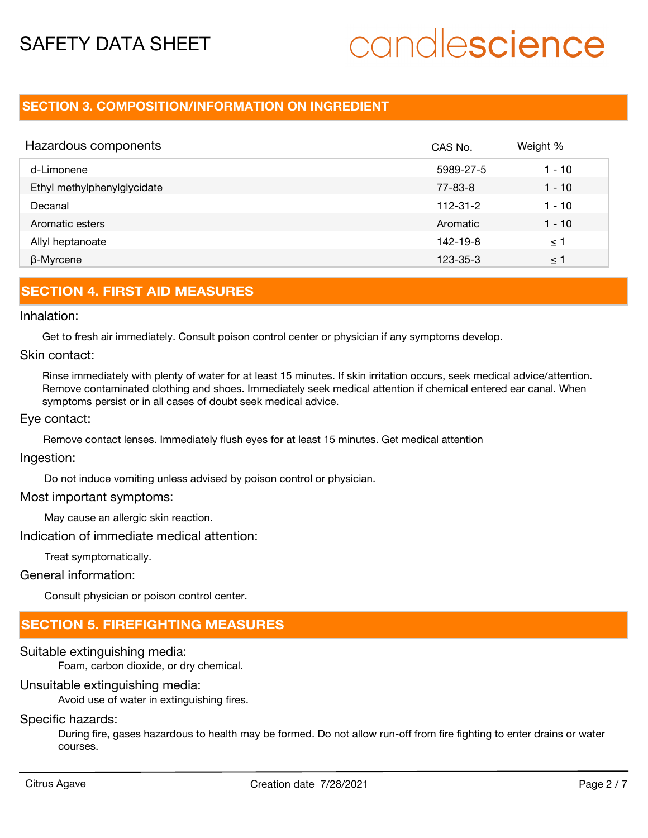# candlescience

# **SECTION 3. COMPOSITION/INFORMATION ON INGREDIENT**

| Hazardous components        | CAS No.        | Weight % |
|-----------------------------|----------------|----------|
| d-Limonene                  | 5989-27-5      | $1 - 10$ |
| Ethyl methylphenylglycidate | 77-83-8        | $1 - 10$ |
| Decanal                     | $112 - 31 - 2$ | 1 - 10   |
| Aromatic esters             | Aromatic       | $1 - 10$ |
| Allyl heptanoate            | $142 - 19 - 8$ | ≤ 1      |
| β-Myrcene                   | 123-35-3       | $\leq$ 1 |

### **SECTION 4. FIRST AID MEASURES**

#### Inhalation:

Get to fresh air immediately. Consult poison control center or physician if any symptoms develop.

#### Skin contact:

Rinse immediately with plenty of water for at least 15 minutes. If skin irritation occurs, seek medical advice/attention. Remove contaminated clothing and shoes. Immediately seek medical attention if chemical entered ear canal. When symptoms persist or in all cases of doubt seek medical advice.

#### Eye contact:

Remove contact lenses. Immediately flush eyes for at least 15 minutes. Get medical attention

#### Ingestion:

Do not induce vomiting unless advised by poison control or physician.

#### Most important symptoms:

May cause an allergic skin reaction.

Indication of immediate medical attention:

Treat symptomatically.

General information:

Consult physician or poison control center.

# **SECTION 5. FIREFIGHTING MEASURES**

## Suitable extinguishing media:

Foam, carbon dioxide, or dry chemical.

## Unsuitable extinguishing media:

Avoid use of water in extinguishing fires.

## Specific hazards:

During fire, gases hazardous to health may be formed. Do not allow run-off from fire fighting to enter drains or water courses.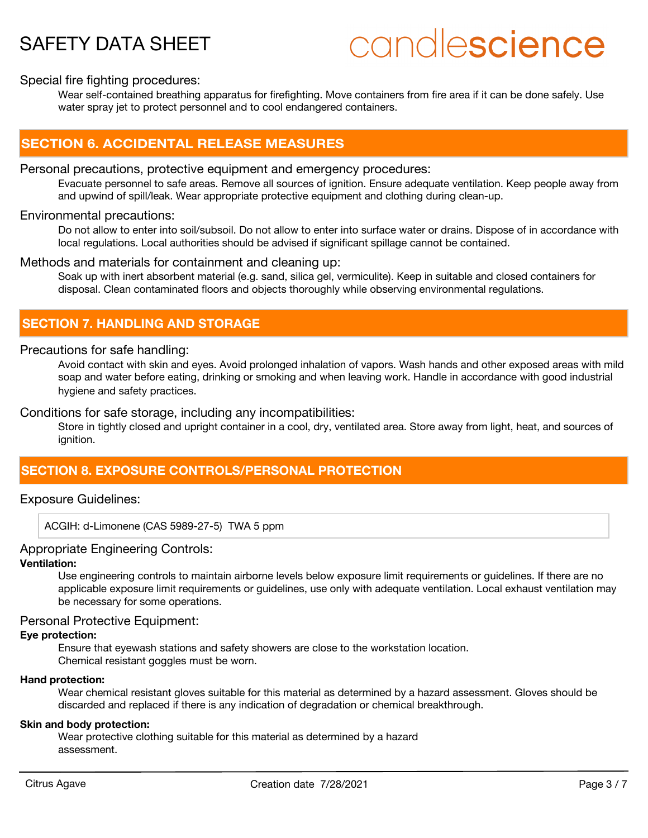# candlescience

#### Special fire fighting procedures:

Wear self-contained breathing apparatus for firefighting. Move containers from fire area if it can be done safely. Use water spray jet to protect personnel and to cool endangered containers.

### **SECTION 6. ACCIDENTAL RELEASE MEASURES**

#### Personal precautions, protective equipment and emergency procedures:

Evacuate personnel to safe areas. Remove all sources of ignition. Ensure adequate ventilation. Keep people away from and upwind of spill/leak. Wear appropriate protective equipment and clothing during clean-up.

#### Environmental precautions:

Do not allow to enter into soil/subsoil. Do not allow to enter into surface water or drains. Dispose of in accordance with local regulations. Local authorities should be advised if significant spillage cannot be contained.

#### Methods and materials for containment and cleaning up:

Soak up with inert absorbent material (e.g. sand, silica gel, vermiculite). Keep in suitable and closed containers for disposal. Clean contaminated floors and objects thoroughly while observing environmental regulations.

# **SECTION 7. HANDLING AND STORAGE**

#### Precautions for safe handling:

Avoid contact with skin and eyes. Avoid prolonged inhalation of vapors. Wash hands and other exposed areas with mild soap and water before eating, drinking or smoking and when leaving work. Handle in accordance with good industrial hygiene and safety practices.

#### Conditions for safe storage, including any incompatibilities:

Store in tightly closed and upright container in a cool, dry, ventilated area. Store away from light, heat, and sources of ignition.

## **SECTION 8. EXPOSURE CONTROLS/PERSONAL PROTECTION**

#### Exposure Guidelines:

ACGIH: d-Limonene (CAS 5989-27-5) TWA 5 ppm

#### Appropriate Engineering Controls:

#### **Ventilation:**

Use engineering controls to maintain airborne levels below exposure limit requirements or guidelines. If there are no applicable exposure limit requirements or guidelines, use only with adequate ventilation. Local exhaust ventilation may be necessary for some operations.

#### Personal Protective Equipment:

#### **Eye protection:**

Ensure that eyewash stations and safety showers are close to the workstation location. Chemical resistant goggles must be worn.

#### **Hand protection:**

Wear chemical resistant gloves suitable for this material as determined by a hazard assessment. Gloves should be discarded and replaced if there is any indication of degradation or chemical breakthrough.

#### **Skin and body protection:**

Wear protective clothing suitable for this material as determined by a hazard assessment.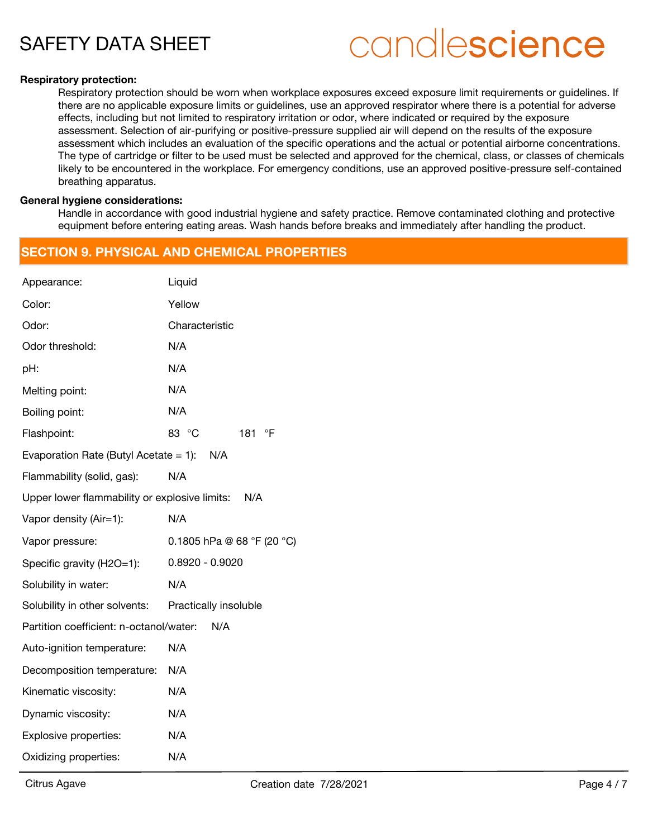# candlescience

#### **Respiratory protection:**

Respiratory protection should be worn when workplace exposures exceed exposure limit requirements or guidelines. If there are no applicable exposure limits or guidelines, use an approved respirator where there is a potential for adverse effects, including but not limited to respiratory irritation or odor, where indicated or required by the exposure assessment. Selection of air-purifying or positive-pressure supplied air will depend on the results of the exposure assessment which includes an evaluation of the specific operations and the actual or potential airborne concentrations. The type of cartridge or filter to be used must be selected and approved for the chemical, class, or classes of chemicals likely to be encountered in the workplace. For emergency conditions, use an approved positive-pressure self-contained breathing apparatus.

#### **General hygiene considerations:**

Handle in accordance with good industrial hygiene and safety practice. Remove contaminated clothing and protective equipment before entering eating areas. Wash hands before breaks and immediately after handling the product.

### **SECTION 9. PHYSICAL AND CHEMICAL PROPERTIES**

| Appearance:                                          | Liquid                     |  |  |  |
|------------------------------------------------------|----------------------------|--|--|--|
| Color:                                               | Yellow                     |  |  |  |
| Odor:                                                | Characteristic             |  |  |  |
| Odor threshold:                                      | N/A                        |  |  |  |
| pH:                                                  | N/A                        |  |  |  |
| Melting point:                                       | N/A                        |  |  |  |
| Boiling point:                                       | N/A                        |  |  |  |
| Flashpoint:                                          | 83 °C<br>181<br>°F         |  |  |  |
| Evaporation Rate (Butyl Acetate = 1): $N/A$          |                            |  |  |  |
| Flammability (solid, gas):                           | N/A                        |  |  |  |
| Upper lower flammability or explosive limits:<br>N/A |                            |  |  |  |
| Vapor density (Air=1):                               | N/A                        |  |  |  |
| Vapor pressure:                                      | 0.1805 hPa @ 68 °F (20 °C) |  |  |  |
| Specific gravity (H2O=1):                            | $0.8920 - 0.9020$          |  |  |  |
| Solubility in water:                                 | N/A                        |  |  |  |
| Solubility in other solvents:                        | Practically insoluble      |  |  |  |
| Partition coefficient: n-octanol/water:<br>N/A       |                            |  |  |  |
| Auto-ignition temperature:                           | N/A                        |  |  |  |
| Decomposition temperature:                           | N/A                        |  |  |  |
| Kinematic viscosity:                                 | N/A                        |  |  |  |
| Dynamic viscosity:                                   | N/A                        |  |  |  |
| Explosive properties:                                | N/A                        |  |  |  |
| Oxidizing properties:                                | N/A                        |  |  |  |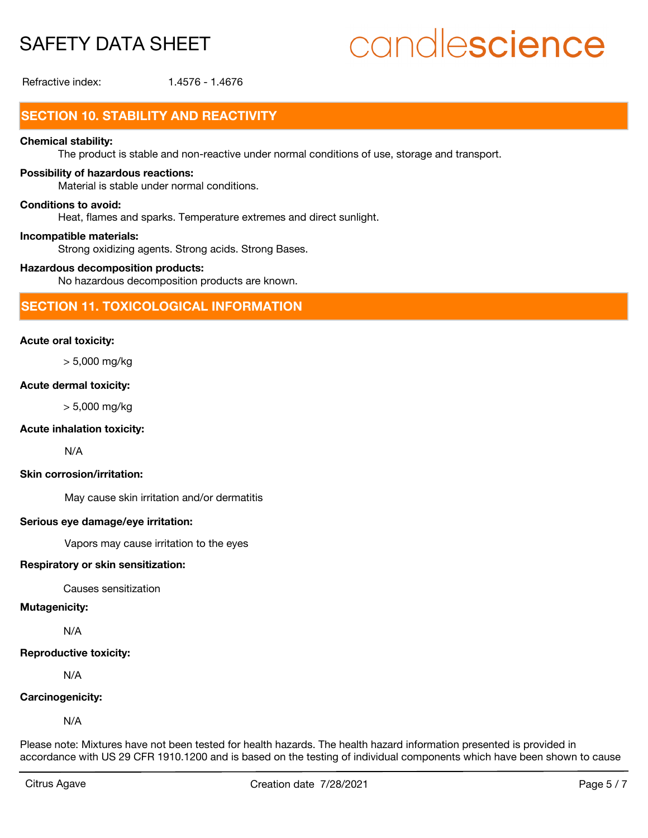# candlescience

Refractive index: 1.4576 - 1.4676

# **SECTION 10. STABILITY AND REACTIVITY**

#### **Chemical stability:**

The product is stable and non-reactive under normal conditions of use, storage and transport.

#### **Possibility of hazardous reactions:**

Material is stable under normal conditions.

#### **Conditions to avoid:**

Heat, flames and sparks. Temperature extremes and direct sunlight.

#### **Incompatible materials:**

Strong oxidizing agents. Strong acids. Strong Bases.

#### **Hazardous decomposition products:**

No hazardous decomposition products are known.

### **SECTION 11. TOXICOLOGICAL INFORMATION**

#### **Acute oral toxicity:**

> 5,000 mg/kg

#### **Acute dermal toxicity:**

> 5,000 mg/kg

#### **Acute inhalation toxicity:**

N/A

#### **Skin corrosion/irritation:**

May cause skin irritation and/or dermatitis

#### **Serious eye damage/eye irritation:**

Vapors may cause irritation to the eyes

#### **Respiratory or skin sensitization:**

Causes sensitization

#### **Mutagenicity:**

N/A

#### **Reproductive toxicity:**

N/A

#### **Carcinogenicity:**

N/A

Please note: Mixtures have not been tested for health hazards. The health hazard information presented is provided in accordance with US 29 CFR 1910.1200 and is based on the testing of individual components which have been shown to cause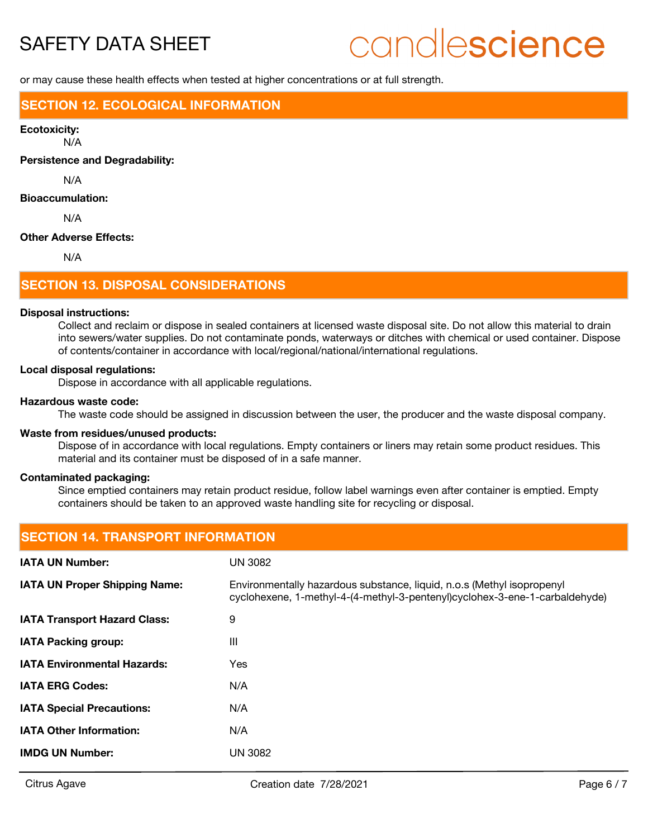# candlescience

or may cause these health effects when tested at higher concentrations or at full strength.

### **SECTION 12. ECOLOGICAL INFORMATION**

#### **Ecotoxicity:**

N/A

**Persistence and Degradability:**

N/A

#### **Bioaccumulation:**

N/A

#### **Other Adverse Effects:**

N/A

#### **SECTION 13. DISPOSAL CONSIDERATIONS**

#### **Disposal instructions:**

Collect and reclaim or dispose in sealed containers at licensed waste disposal site. Do not allow this material to drain into sewers/water supplies. Do not contaminate ponds, waterways or ditches with chemical or used container. Dispose of contents/container in accordance with local/regional/national/international regulations.

#### **Local disposal regulations:**

Dispose in accordance with all applicable regulations.

#### **Hazardous waste code:**

The waste code should be assigned in discussion between the user, the producer and the waste disposal company.

#### **Waste from residues/unused products:**

Dispose of in accordance with local regulations. Empty containers or liners may retain some product residues. This material and its container must be disposed of in a safe manner.

#### **Contaminated packaging:**

Since emptied containers may retain product residue, follow label warnings even after container is emptied. Empty containers should be taken to an approved waste handling site for recycling or disposal.

| <b>SECTION 14. TRANSPORT INFORMATION</b> |                                                                                                                                                       |  |  |  |
|------------------------------------------|-------------------------------------------------------------------------------------------------------------------------------------------------------|--|--|--|
| <b>IATA UN Number:</b>                   | <b>UN 3082</b>                                                                                                                                        |  |  |  |
| <b>IATA UN Proper Shipping Name:</b>     | Environmentally hazardous substance, liquid, n.o.s (Methyl isopropenyl<br>cyclohexene, 1-methyl-4-(4-methyl-3-pentenyl)cyclohex-3-ene-1-carbaldehyde) |  |  |  |
| <b>IATA Transport Hazard Class:</b>      | 9                                                                                                                                                     |  |  |  |
| <b>IATA Packing group:</b>               | $\mathbf{III}$                                                                                                                                        |  |  |  |
| <b>IATA Environmental Hazards:</b>       | Yes                                                                                                                                                   |  |  |  |
| <b>IATA ERG Codes:</b>                   | N/A                                                                                                                                                   |  |  |  |
| <b>IATA Special Precautions:</b>         | N/A                                                                                                                                                   |  |  |  |
| <b>IATA Other Information:</b>           | N/A                                                                                                                                                   |  |  |  |
| <b>IMDG UN Number:</b>                   | <b>UN 3082</b>                                                                                                                                        |  |  |  |